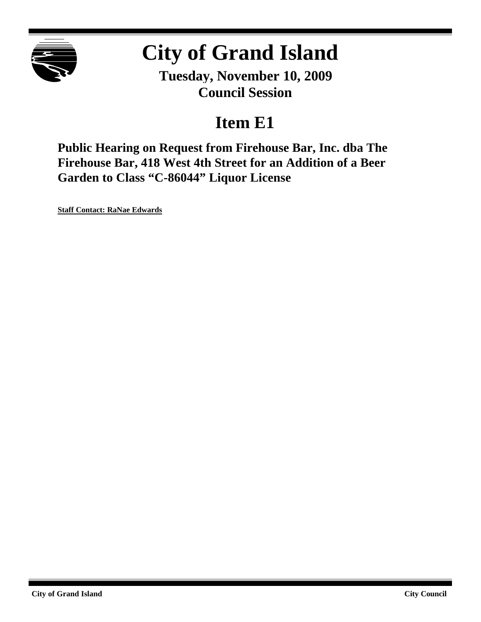

# **City of Grand Island**

**Tuesday, November 10, 2009 Council Session**

# **Item E1**

**Public Hearing on Request from Firehouse Bar, Inc. dba The Firehouse Bar, 418 West 4th Street for an Addition of a Beer Garden to Class "C-86044" Liquor License**

**Staff Contact: RaNae Edwards**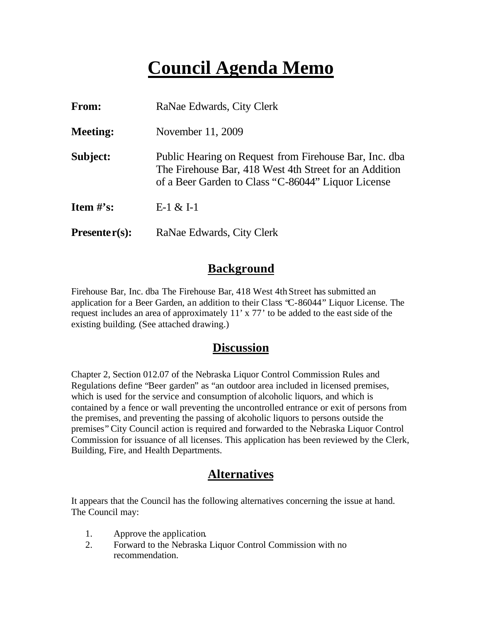# **Council Agenda Memo**

| From:           | RaNae Edwards, City Clerk                                                                                                                                              |
|-----------------|------------------------------------------------------------------------------------------------------------------------------------------------------------------------|
| <b>Meeting:</b> | November 11, 2009                                                                                                                                                      |
| Subject:        | Public Hearing on Request from Firehouse Bar, Inc. dba<br>The Firehouse Bar, 418 West 4th Street for an Addition<br>of a Beer Garden to Class "C-86044" Liquor License |
| Item $\#$ 's:   | $E-1 & 1-1$                                                                                                                                                            |
| $Presenter(s):$ | RaNae Edwards, City Clerk                                                                                                                                              |

#### **Background**

Firehouse Bar, Inc. dba The Firehouse Bar, 418 West 4th Street has submitted an application for a Beer Garden, an addition to their Class "C-86044" Liquor License. The request includes an area of approximately 11' x 77' to be added to the east side of the existing building. (See attached drawing.)

#### **Discussion**

Chapter 2, Section 012.07 of the Nebraska Liquor Control Commission Rules and Regulations define "Beer garden" as "an outdoor area included in licensed premises, which is used for the service and consumption of alcoholic liquors, and which is contained by a fence or wall preventing the uncontrolled entrance or exit of persons from the premises, and preventing the passing of alcoholic liquors to persons outside the premises" City Council action is required and forwarded to the Nebraska Liquor Control Commission for issuance of all licenses. This application has been reviewed by the Clerk, Building, Fire, and Health Departments.

### **Alternatives**

It appears that the Council has the following alternatives concerning the issue at hand. The Council may:

- 1. Approve the application.
- 2. Forward to the Nebraska Liquor Control Commission with no recommendation.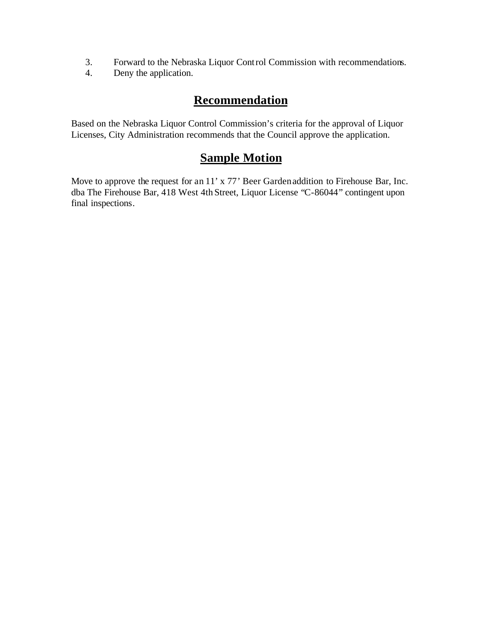- 3. Forward to the Nebraska Liquor Control Commission with recommendations.
- 4. Deny the application.

## **Recommendation**

Based on the Nebraska Liquor Control Commission's criteria for the approval of Liquor Licenses, City Administration recommends that the Council approve the application.

### **Sample Motion**

Move to approve the request for an 11' x 77' Beer Garden addition to Firehouse Bar, Inc. dba The Firehouse Bar, 418 West 4th Street, Liquor License "C-86044" contingent upon final inspections.